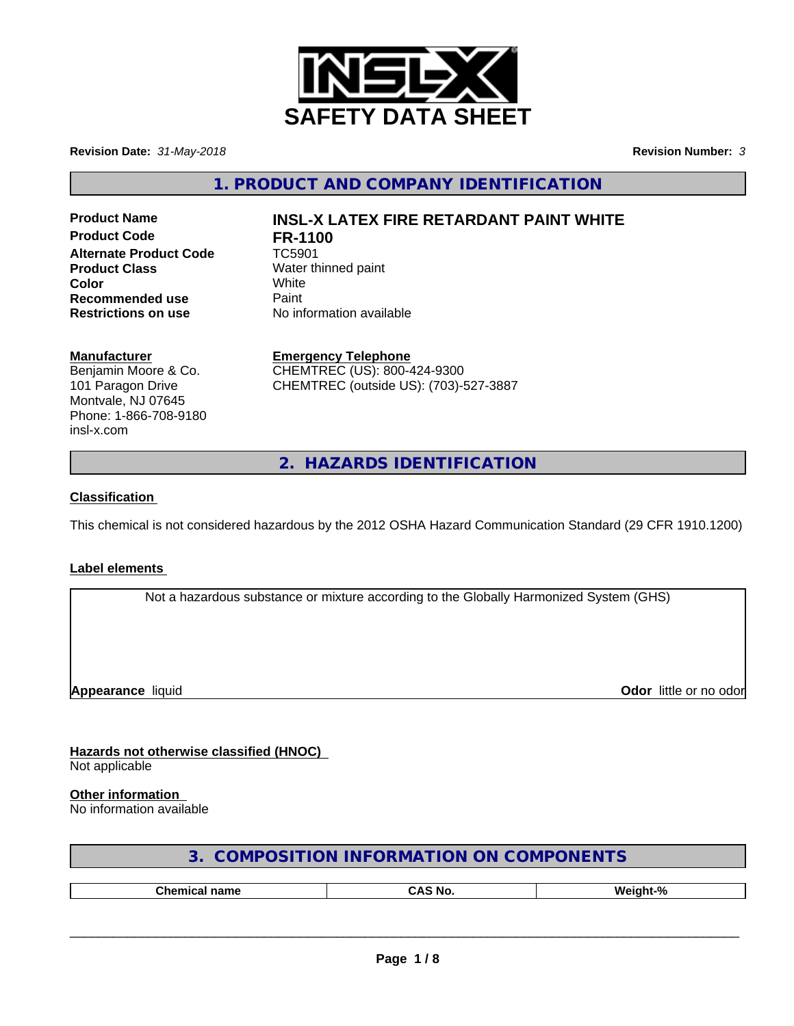

**Revision Date:** *31-May-2018* **Revision Number:** *3*

**1. PRODUCT AND COMPANY IDENTIFICATION**

**Product Code FR-1100 Alternate Product Code** TC5901 **Product Class** Water thinned paint **Color** White White **Recommended use** Paint<br> **Restrictions on use** No inf

# **Product Name INSL-X LATEX FIRE RETARDANT PAINT WHITE**

**No information available** 

## **Manufacturer**

Benjamin Moore & Co. 101 Paragon Drive Montvale, NJ 07645 Phone: 1-866-708-9180 insl-x.com

**Emergency Telephone** CHEMTREC (US): 800-424-9300 CHEMTREC (outside US): (703)-527-3887

**2. HAZARDS IDENTIFICATION**

## **Classification**

This chemical is not considered hazardous by the 2012 OSHA Hazard Communication Standard (29 CFR 1910.1200)

#### **Label elements**

Not a hazardous substance or mixture according to the Globally Harmonized System (GHS)

**Appearance** liquid

**Odor** little or no odor

**Hazards not otherwise classified (HNOC)** Not applicable

## **Other information**

No information available

| 3. COMPOSITION INFORMATION ON COMPONENTS |  |
|------------------------------------------|--|
|------------------------------------------|--|

| --<br> | N6 |  |
|--------|----|--|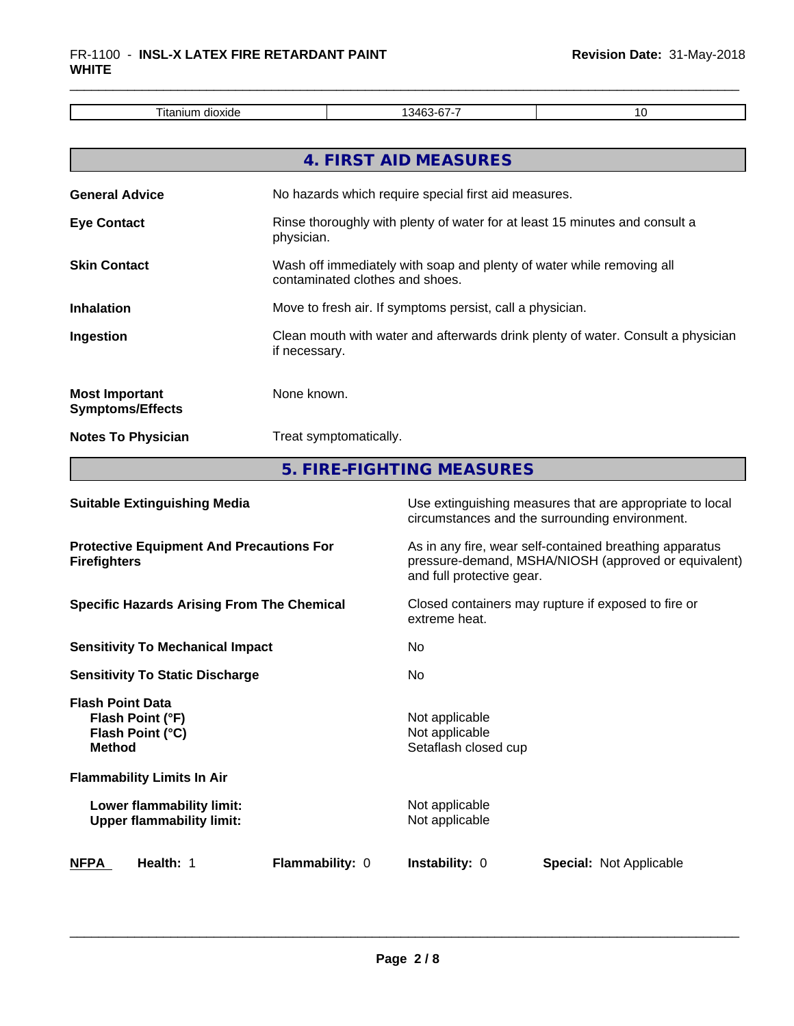| _<br>l itanıur<br>זור<br>xк<br>ື<br>. |  |
|---------------------------------------|--|

|                                                  | 4. FIRST AID MEASURES                                                                                    |
|--------------------------------------------------|----------------------------------------------------------------------------------------------------------|
| <b>General Advice</b>                            | No hazards which require special first aid measures.                                                     |
| <b>Eye Contact</b>                               | Rinse thoroughly with plenty of water for at least 15 minutes and consult a<br>physician.                |
| <b>Skin Contact</b>                              | Wash off immediately with soap and plenty of water while removing all<br>contaminated clothes and shoes. |
| <b>Inhalation</b>                                | Move to fresh air. If symptoms persist, call a physician.                                                |
| Ingestion                                        | Clean mouth with water and afterwards drink plenty of water. Consult a physician<br>if necessary.        |
| <b>Most Important</b><br><b>Symptoms/Effects</b> | None known.                                                                                              |
| <b>Notes To Physician</b>                        | Treat symptomatically.                                                                                   |
|                                                  | 5. FIRE-FIGHTING MEASURES                                                                                |

| <b>Suitable Extinguishing Media</b>                                              | Use extinguishing measures that are appropriate to local<br>circumstances and the surrounding environment.                                   |
|----------------------------------------------------------------------------------|----------------------------------------------------------------------------------------------------------------------------------------------|
| <b>Protective Equipment And Precautions For</b><br><b>Firefighters</b>           | As in any fire, wear self-contained breathing apparatus<br>pressure-demand, MSHA/NIOSH (approved or equivalent)<br>and full protective gear. |
| <b>Specific Hazards Arising From The Chemical</b>                                | Closed containers may rupture if exposed to fire or<br>extreme heat.                                                                         |
| <b>Sensitivity To Mechanical Impact</b>                                          | No                                                                                                                                           |
| <b>Sensitivity To Static Discharge</b>                                           | N <sub>0</sub>                                                                                                                               |
| <b>Flash Point Data</b><br>Flash Point (°F)<br>Flash Point (°C)<br><b>Method</b> | Not applicable<br>Not applicable<br>Setaflash closed cup                                                                                     |
| <b>Flammability Limits In Air</b>                                                |                                                                                                                                              |
| Lower flammability limit:<br><b>Upper flammability limit:</b>                    | Not applicable<br>Not applicable                                                                                                             |
| <b>NFPA</b><br><b>Health: 1</b><br><b>Flammability: 0</b>                        | <b>Instability: 0</b><br><b>Special: Not Applicable</b>                                                                                      |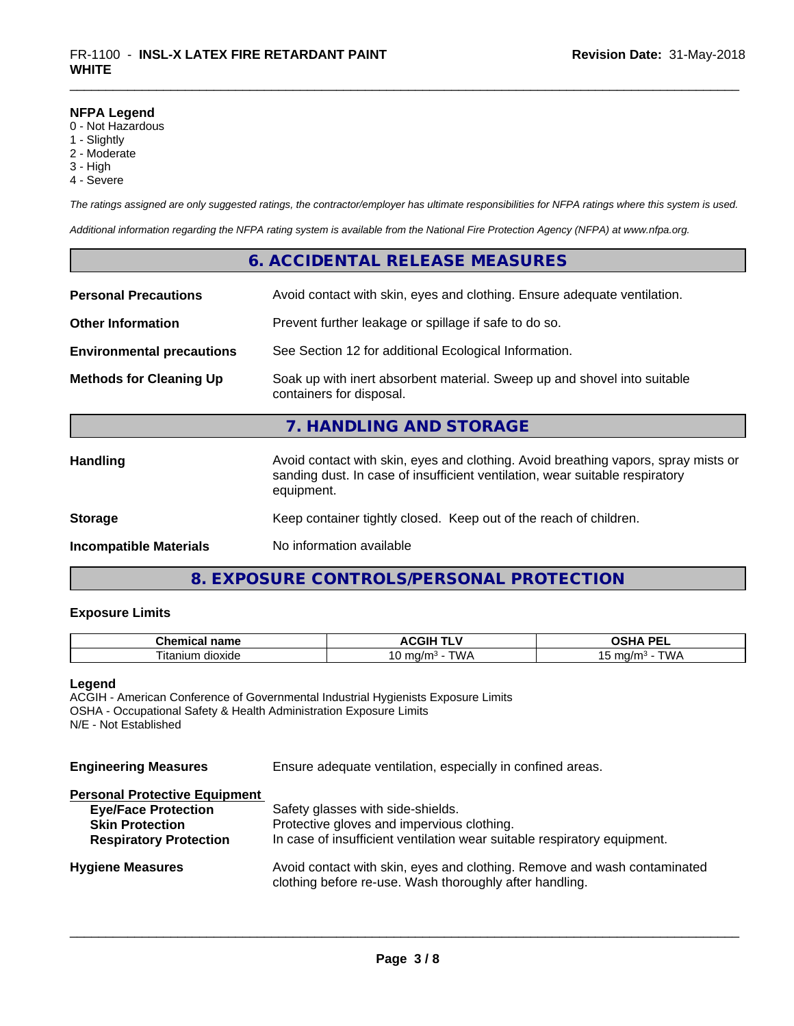#### **NFPA Legend**

- 0 Not Hazardous
- 1 Slightly
- 2 Moderate
- 3 High
- 4 Severe

*The ratings assigned are only suggested ratings, the contractor/employer has ultimate responsibilities for NFPA ratings where this system is used.*

*Additional information regarding the NFPA rating system is available from the National Fire Protection Agency (NFPA) at www.nfpa.org.*

# **6. ACCIDENTAL RELEASE MEASURES**

| <b>Personal Precautions</b>      | Avoid contact with skin, eyes and clothing. Ensure adequate ventilation.                                                                                                         |  |  |
|----------------------------------|----------------------------------------------------------------------------------------------------------------------------------------------------------------------------------|--|--|
| <b>Other Information</b>         | Prevent further leakage or spillage if safe to do so.                                                                                                                            |  |  |
| <b>Environmental precautions</b> | See Section 12 for additional Ecological Information.                                                                                                                            |  |  |
| <b>Methods for Cleaning Up</b>   | Soak up with inert absorbent material. Sweep up and shovel into suitable<br>containers for disposal.                                                                             |  |  |
|                                  | 7. HANDLING AND STORAGE                                                                                                                                                          |  |  |
| <b>Handling</b>                  | Avoid contact with skin, eyes and clothing. Avoid breathing vapors, spray mists or<br>sanding dust. In case of insufficient ventilation, wear suitable respiratory<br>equipment. |  |  |
| <b>Storage</b>                   | Keep container tightly closed. Keep out of the reach of children.                                                                                                                |  |  |
| <b>Incompatible Materials</b>    | No information available                                                                                                                                                         |  |  |

# **8. EXPOSURE CONTROLS/PERSONAL PROTECTION**

# **Exposure Limits**

| $\sim$ $\sim$ $\sim$<br>name<br>Chemical | \CGIF<br>. .                     | <b>DEI</b><br><b>CLIA</b>               |
|------------------------------------------|----------------------------------|-----------------------------------------|
| າ dioxide<br>. itanium                   | <b>WA</b><br>ma<br>'m.<br>17<br> | <b>MAI</b><br>, ma/m<br><b>VVI</b><br>՝ |

#### **Legend**

ACGIH - American Conference of Governmental Industrial Hygienists Exposure Limits OSHA - Occupational Safety & Health Administration Exposure Limits N/E - Not Established

**Engineering Measures** Ensure adequate ventilation, especially in confined areas.

| <b>Personal Protective Equipment</b> |                                                                                                                                     |
|--------------------------------------|-------------------------------------------------------------------------------------------------------------------------------------|
| <b>Eye/Face Protection</b>           | Safety glasses with side-shields.                                                                                                   |
| <b>Skin Protection</b>               | Protective gloves and impervious clothing.                                                                                          |
| <b>Respiratory Protection</b>        | In case of insufficient ventilation wear suitable respiratory equipment.                                                            |
| <b>Hygiene Measures</b>              | Avoid contact with skin, eyes and clothing. Remove and wash contaminated<br>clothing before re-use. Wash thoroughly after handling. |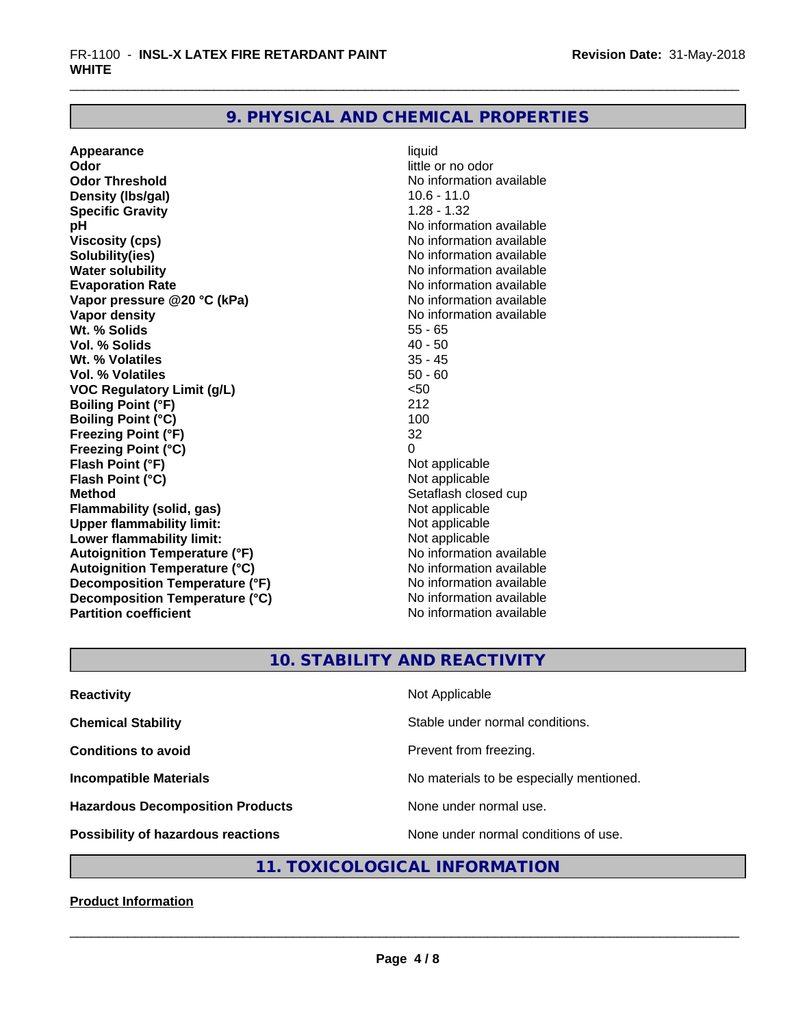# **9. PHYSICAL AND CHEMICAL PROPERTIES**

**Appearance** liquid **Odor** little or no odor **Odor Threshold No information available No information available Density (lbs/gal)** 10.6 - 11.0<br> **Specific Gravity** 128 - 132 **Specific Gravity pH pH**  $\blacksquare$ **Viscosity (cps)** No information available **Solubility(ies)** No information available **Water solubility**<br> **Evaporation Rate**<br> **Evaporation Rate**<br> **Evaporation Rate Vapor** pressure @20 °C (kPa) **Vapor density**<br> **We Solids**<br>
We Solids
2010<br>
We Note that the Solid S5 - 65 **Wt. % Solids** 55 - 65<br> **Vol. % Solids** 55 - 65<br> **Vol. % Solids** 50 **Vol. % Solids Wt. % Volatiles** 35 - 45 **Vol. % Volatiles** 50 - 60 **VOC Regulatory Limit (g/L)** <50 **Boiling Point (°F)** 212 **Boiling Point (°C)** 100 **Freezing Point (°F)** 32 **Freezing Point (°C)** 0 **Flash Point (°F)**<br> **Flash Point (°C)**<br> **Flash Point (°C)**<br> **C Flash Point (°C) Method** Setaflash closed cup **Flammability (solid, gas)** Not applicable **Upper flammability limit:**<br> **Lower flammability limit:**<br>
Not applicable<br>
Not applicable **Lower flammability limit:**<br> **Autoignition Temperature (°F)** Not applicable have not available **Autoignition Temperature (°F) Autoignition Temperature (°C)**<br> **Decomposition Temperature (°F)** No information available **Decomposition Temperature (°F) Decomposition Temperature (°C)** No information available **Partition coefficient Contract Contract Contract Contract Contract Contract Contract Contract Contract Contract Contract Contract Contract Contract Contract Contract Contract Contract Contract Contract Contract Contract** 

No information available<br>No information available

# **10. STABILITY AND REACTIVITY**

| <b>Reactivity</b>                       | Not Applicable                           |
|-----------------------------------------|------------------------------------------|
| <b>Chemical Stability</b>               | Stable under normal conditions.          |
| <b>Conditions to avoid</b>              | Prevent from freezing.                   |
| <b>Incompatible Materials</b>           | No materials to be especially mentioned. |
| <b>Hazardous Decomposition Products</b> | None under normal use.                   |
| Possibility of hazardous reactions      | None under normal conditions of use.     |

# **11. TOXICOLOGICAL INFORMATION**

# **Product Information**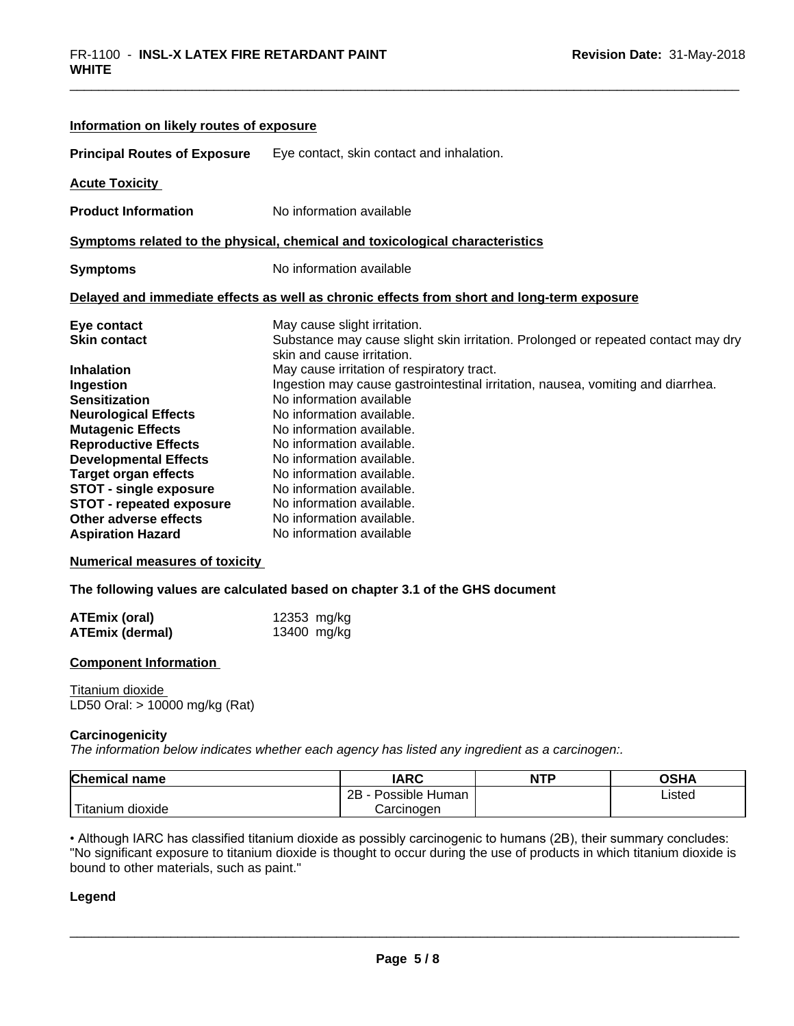| Information on likely routes of exposure                                                                                                                                                                                                                                                                                                                                                                                                                                                                            |                            |                                                                                                                                                                                                                                                                                                                                                                                                                               |            |                                                                                   |  |
|---------------------------------------------------------------------------------------------------------------------------------------------------------------------------------------------------------------------------------------------------------------------------------------------------------------------------------------------------------------------------------------------------------------------------------------------------------------------------------------------------------------------|----------------------------|-------------------------------------------------------------------------------------------------------------------------------------------------------------------------------------------------------------------------------------------------------------------------------------------------------------------------------------------------------------------------------------------------------------------------------|------------|-----------------------------------------------------------------------------------|--|
| <b>Principal Routes of Exposure</b>                                                                                                                                                                                                                                                                                                                                                                                                                                                                                 |                            | Eye contact, skin contact and inhalation.                                                                                                                                                                                                                                                                                                                                                                                     |            |                                                                                   |  |
| <b>Acute Toxicity</b>                                                                                                                                                                                                                                                                                                                                                                                                                                                                                               |                            |                                                                                                                                                                                                                                                                                                                                                                                                                               |            |                                                                                   |  |
| <b>Product Information</b>                                                                                                                                                                                                                                                                                                                                                                                                                                                                                          |                            | No information available                                                                                                                                                                                                                                                                                                                                                                                                      |            |                                                                                   |  |
| Symptoms related to the physical, chemical and toxicological characteristics                                                                                                                                                                                                                                                                                                                                                                                                                                        |                            |                                                                                                                                                                                                                                                                                                                                                                                                                               |            |                                                                                   |  |
| <b>Symptoms</b>                                                                                                                                                                                                                                                                                                                                                                                                                                                                                                     |                            | No information available                                                                                                                                                                                                                                                                                                                                                                                                      |            |                                                                                   |  |
| Delayed and immediate effects as well as chronic effects from short and long-term exposure                                                                                                                                                                                                                                                                                                                                                                                                                          |                            |                                                                                                                                                                                                                                                                                                                                                                                                                               |            |                                                                                   |  |
| Eye contact<br><b>Skin contact</b>                                                                                                                                                                                                                                                                                                                                                                                                                                                                                  |                            | May cause slight irritation.<br>skin and cause irritation.                                                                                                                                                                                                                                                                                                                                                                    |            | Substance may cause slight skin irritation. Prolonged or repeated contact may dry |  |
| <b>Inhalation</b><br>Ingestion<br><b>Sensitization</b><br><b>Neurological Effects</b><br><b>Mutagenic Effects</b><br><b>Reproductive Effects</b><br><b>Developmental Effects</b><br><b>Target organ effects</b><br><b>STOT - single exposure</b><br><b>STOT - repeated exposure</b><br>Other adverse effects<br><b>Aspiration Hazard</b><br><b>Numerical measures of toxicity</b><br>The following values are calculated based on chapter 3.1 of the GHS document<br><b>ATEmix (oral)</b><br><b>ATEmix (dermal)</b> | 12353 mg/kg<br>13400 mg/kg | May cause irritation of respiratory tract.<br>Ingestion may cause gastrointestinal irritation, nausea, vomiting and diarrhea.<br>No information available<br>No information available.<br>No information available.<br>No information available.<br>No information available.<br>No information available.<br>No information available.<br>No information available.<br>No information available.<br>No information available |            |                                                                                   |  |
| <b>Component Information</b>                                                                                                                                                                                                                                                                                                                                                                                                                                                                                        |                            |                                                                                                                                                                                                                                                                                                                                                                                                                               |            |                                                                                   |  |
| Titanium dioxide<br>LD50 Oral: > 10000 mg/kg (Rat)                                                                                                                                                                                                                                                                                                                                                                                                                                                                  |                            |                                                                                                                                                                                                                                                                                                                                                                                                                               |            |                                                                                   |  |
| Carcinogenicity<br>The information below indicates whether each agency has listed any ingredient as a carcinogen:.                                                                                                                                                                                                                                                                                                                                                                                                  |                            |                                                                                                                                                                                                                                                                                                                                                                                                                               |            |                                                                                   |  |
| <b>Chemical name</b>                                                                                                                                                                                                                                                                                                                                                                                                                                                                                                |                            | <b>IARC</b><br>2B - Possible Human                                                                                                                                                                                                                                                                                                                                                                                            | <b>NTP</b> | <b>OSHA</b>                                                                       |  |
|                                                                                                                                                                                                                                                                                                                                                                                                                                                                                                                     |                            |                                                                                                                                                                                                                                                                                                                                                                                                                               |            | Listed                                                                            |  |

• Although IARC has classified titanium dioxide as possibly carcinogenic to humans (2B), their summary concludes: "No significant exposure to titanium dioxide is thought to occur during the use of products in which titanium dioxide is bound to other materials, such as paint."

Carcinogen

#### **Legend**

Titanium dioxide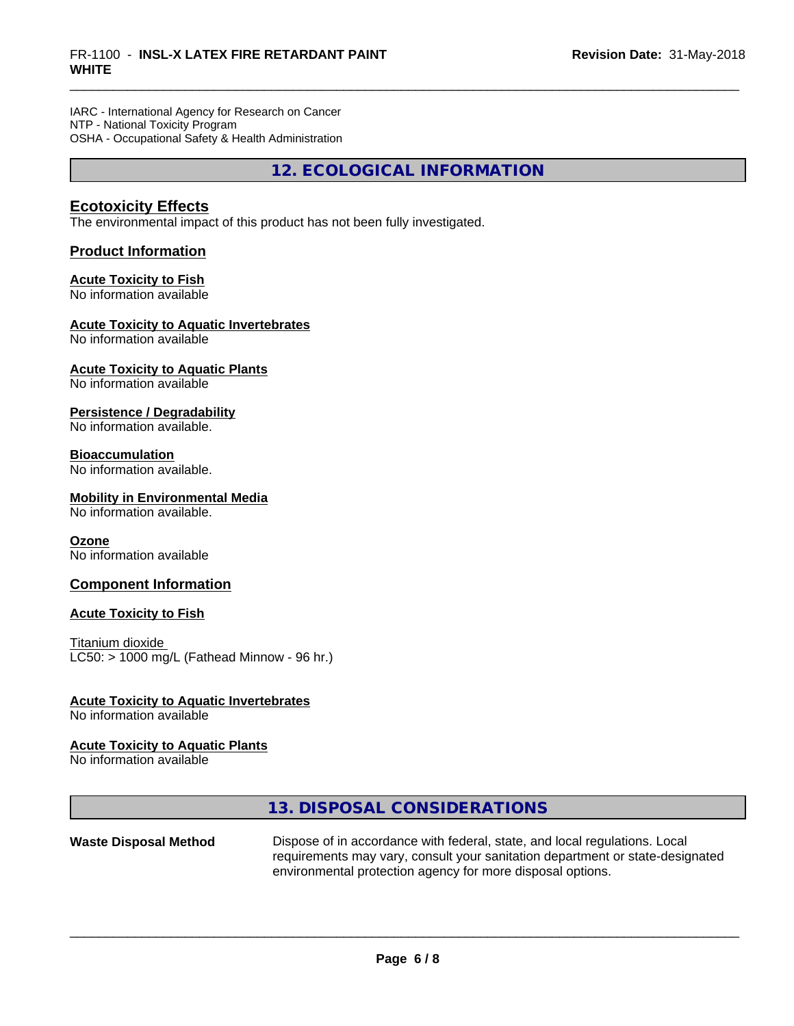IARC - International Agency for Research on Cancer NTP - National Toxicity Program OSHA - Occupational Safety & Health Administration

**12. ECOLOGICAL INFORMATION**

# **Ecotoxicity Effects**

The environmental impact of this product has not been fully investigated.

## **Product Information**

## **Acute Toxicity to Fish**

No information available

#### **Acute Toxicity to Aquatic Invertebrates**

No information available

## **Acute Toxicity to Aquatic Plants**

No information available

#### **Persistence / Degradability**

No information available.

#### **Bioaccumulation**

No information available.

#### **Mobility in Environmental Media**

No information available.

#### **Ozone**

No information available

#### **Component Information**

#### **Acute Toxicity to Fish**

Titanium dioxide  $LC50: > 1000$  mg/L (Fathead Minnow - 96 hr.)

#### **Acute Toxicity to Aquatic Invertebrates**

No information available

#### **Acute Toxicity to Aquatic Plants**

No information available

# **13. DISPOSAL CONSIDERATIONS**

**Waste Disposal Method** Dispose of in accordance with federal, state, and local regulations. Local requirements may vary, consult your sanitation department or state-designated environmental protection agency for more disposal options.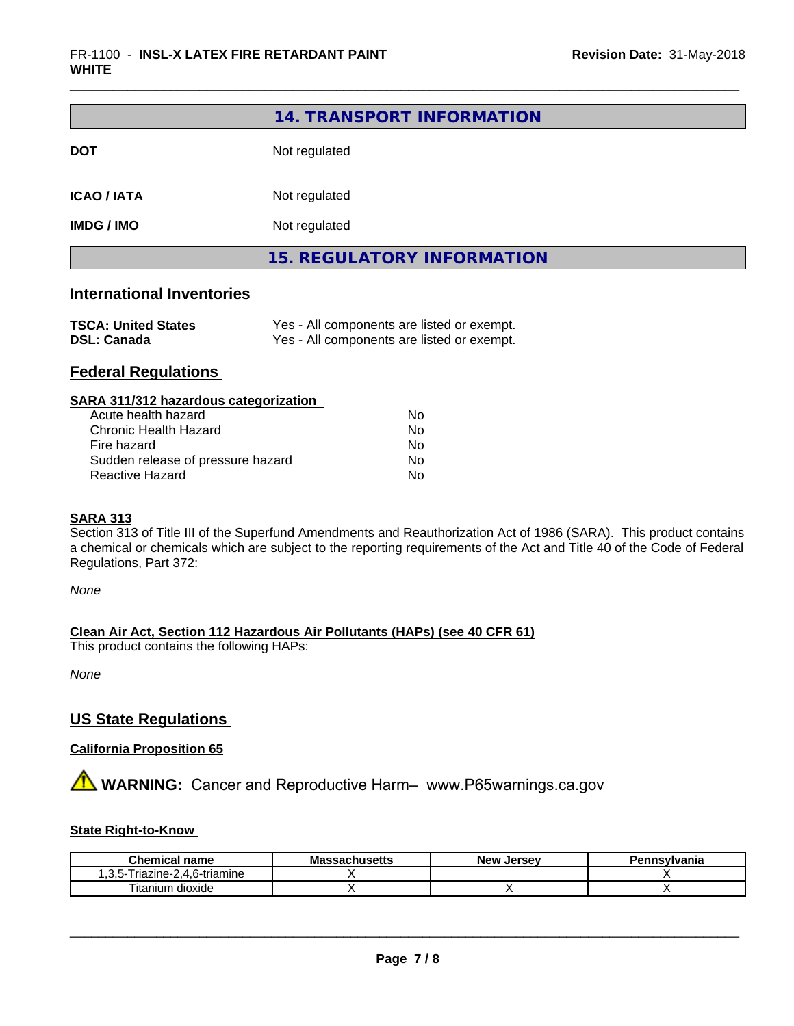|                    | 14. TRANSPORT INFORMATION         |  |  |
|--------------------|-----------------------------------|--|--|
| <b>DOT</b>         | Not regulated                     |  |  |
| <b>ICAO / IATA</b> | Not regulated                     |  |  |
| <b>IMDG / IMO</b>  | Not regulated                     |  |  |
|                    | <b>15. REGULATORY INFORMATION</b> |  |  |
|                    |                                   |  |  |

| <b>TSCA: United States</b> | Yes - All components are listed or exempt. |
|----------------------------|--------------------------------------------|
| <b>DSL: Canada</b>         | Yes - All components are listed or exempt. |

# **Federal Regulations**

## **SARA 311/312 hazardous categorization**

| Acute health hazard               | No |
|-----------------------------------|----|
| Chronic Health Hazard             | Nο |
| Fire hazard                       | N٥ |
| Sudden release of pressure hazard | Nο |
| Reactive Hazard                   | Nο |

#### **SARA 313**

Section 313 of Title III of the Superfund Amendments and Reauthorization Act of 1986 (SARA). This product contains a chemical or chemicals which are subject to the reporting requirements of the Act and Title 40 of the Code of Federal Regulations, Part 372:

*None*

# **Clean Air Act,Section 112 Hazardous Air Pollutants (HAPs) (see 40 CFR 61)**

This product contains the following HAPs:

*None*

# **US State Regulations**

# **California Proposition 65**

# **AVIMARNING:** Cancer and Reproductive Harm– www.P65warnings.ca.gov

# **State Right-to-Know**

| Chemical<br>name                                                            | Ma<br>⊶adNuscus | . Jersev<br>Nev <sup>.</sup> | าทรงIvania |
|-----------------------------------------------------------------------------|-----------------|------------------------------|------------|
| 6-triamine<br>fiazine <sup>.</sup><br>∽-<br>$\overline{\phantom{a}}$<br>. . |                 |                              |            |
| dioxide<br>l itanium                                                        |                 |                              |            |